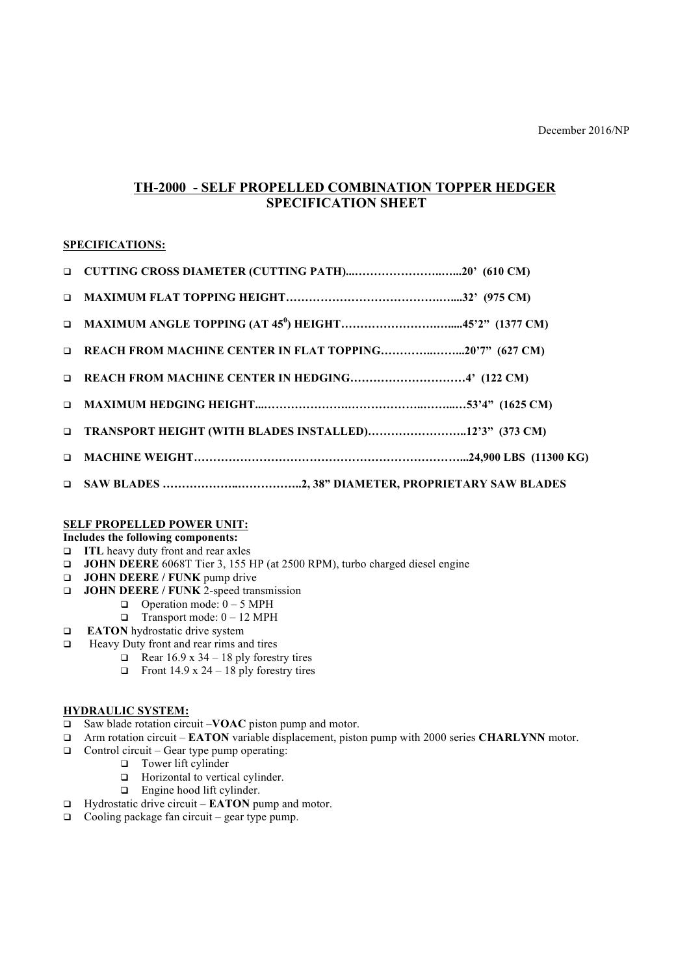# **TH-2000 - SELF PROPELLED COMBINATION TOPPER HEDGER SPECIFICATION SHEET**

## **SPECIFICATIONS:**

| D REACH FROM MACHINE CENTER IN FLAT TOPPING20'7" (627 CM) |
|-----------------------------------------------------------|
|                                                           |
|                                                           |
|                                                           |
|                                                           |
|                                                           |

### **SELF PROPELLED POWER UNIT:**

# **Includes the following components:**

- **q ITL** heavy duty front and rear axles
- **Q JOHN DEERE** 6068T Tier 3, 155 HP (at 2500 RPM), turbo charged diesel engine
- **Q JOHN DEERE** / **FUNK** pump drive
- **Q JOHN DEERE** / **FUNK** 2-speed transmission
	- $\Box$  Operation mode:  $0 5$  MPH
	- $\Box$  Transport mode:  $0 12 \text{ MPH}$
- **EATON** hydrostatic drive system
- $\Box$  Heavy Duty front and rear rims and tires
	- **Q** Rear 16.9 x 34 18 ply forestry tires
	- **q** Front 14.9 x 24 18 ply forestry tires

## **HYDRAULIC SYSTEM:**

- □ Saw blade rotation circuit –**VOAC** piston pump and motor.
- q Arm rotation circuit **EATON** variable displacement, piston pump with 2000 series **CHARLYNN** motor.
- $\Box$  Control circuit Gear type pump operating:
	- $\Box$  Tower lift cylinder
	- $\Box$  Horizontal to vertical cylinder.
	- $\Box$  Engine hood lift cylinder.
- q Hydrostatic drive circuit **EATON** pump and motor.
- $\Box$  Cooling package fan circuit gear type pump.